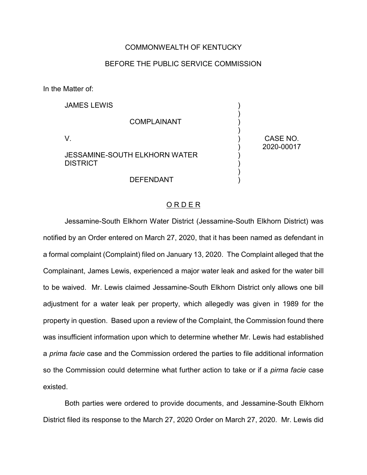### COMMONWEALTH OF KENTUCKY

### BEFORE THE PUBLIC SERVICE COMMISSION

In the Matter of:

| <b>JAMES LEWIS</b>                                      |                        |
|---------------------------------------------------------|------------------------|
| <b>COMPLAINANT</b>                                      |                        |
| V                                                       | CASE NO.<br>2020-00017 |
| <b>JESSAMINE-SOUTH ELKHORN WATER</b><br><b>DISTRICT</b> |                        |
| DEFENDANT                                               |                        |

#### O R D E R

)

Jessamine-South Elkhorn Water District (Jessamine-South Elkhorn District) was notified by an Order entered on March 27, 2020, that it has been named as defendant in a formal complaint (Complaint) filed on January 13, 2020. The Complaint alleged that the Complainant, James Lewis, experienced a major water leak and asked for the water bill to be waived. Mr. Lewis claimed Jessamine-South Elkhorn District only allows one bill adjustment for a water leak per property, which allegedly was given in 1989 for the property in question. Based upon a review of the Complaint, the Commission found there was insufficient information upon which to determine whether Mr. Lewis had established a *prima facie* case and the Commission ordered the parties to file additional information so the Commission could determine what further action to take or if a *pirma facie* case existed.

Both parties were ordered to provide documents, and Jessamine-South Elkhorn District filed its response to the March 27, 2020 Order on March 27, 2020. Mr. Lewis did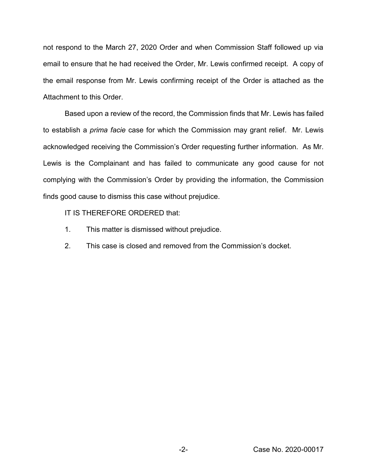not respond to the March 27, 2020 Order and when Commission Staff followed up via email to ensure that he had received the Order, Mr. Lewis confirmed receipt. A copy of the email response from Mr. Lewis confirming receipt of the Order is attached as the Attachment to this Order.

Based upon a review of the record, the Commission finds that Mr. Lewis has failed to establish a *prima facie* case for which the Commission may grant relief. Mr. Lewis acknowledged receiving the Commission's Order requesting further information. As Mr. Lewis is the Complainant and has failed to communicate any good cause for not complying with the Commission's Order by providing the information, the Commission finds good cause to dismiss this case without prejudice.

IT IS THEREFORE ORDERED that:

- 1. This matter is dismissed without prejudice.
- 2. This case is closed and removed from the Commission's docket.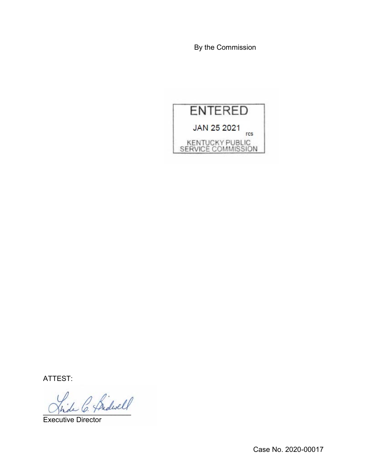By the Commission



ATTEST:

)<br>de C. Bidwell

Executive Director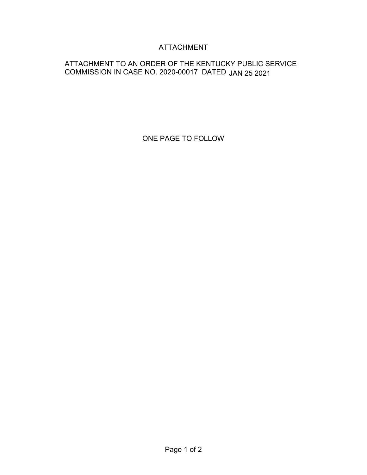# ATTACHMENT

## ATTACHMENT TO AN ORDER OF THE KENTUCKY PUBLIC SERVICE COMMISSION IN CASE NO. 2020-00017 DATED JAN 25 2021

ONE PAGE TO FOLLOW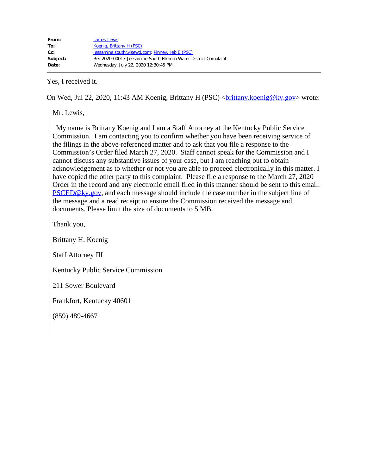Yes, I received it.

On Wed, Jul 22, 2020, 11:43 AM Koenig, Brittany H (PSC) <br/>
<u>chany.koenig@ky.gov</u>> wrote:

Mr. Lewis,

 My name is Brittany Koenig and I am a Staff Attorney at the Kentucky Public Service Commission. I am contacting you to confirm whether you have been receiving service of the filings in the above-referenced matter and to ask that you file a response to the Commission's Order filed March 27, 2020. Staff cannot speak for the Commission and I cannot discuss any substantive issues of your case, but I am reaching out to obtain acknowledgement as to whether or not you are able to proceed electronically in this matter. I have copied the other party to this complaint. Please file a response to the March 27, 2020 Order in the record and any electronic email filed in this manner should be sent to this email: [PSCED@ky.gov](mailto:PSCED@ky.gov), and each message should include the case number in the subject line of the message and a read receipt to ensure the Commission received the message and documents. Please limit the size of documents to 5 MB.

Thank you,

Brittany H. Koenig

Staff Attorney III

Kentucky Public Service Commission

211 Sower Boulevard

Frankfort, Kentucky 40601

(859) 489-4667